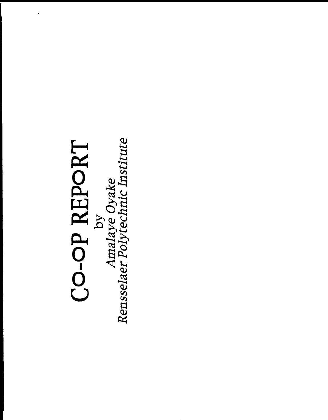# CO-OP REPORT<br>by<br>Amalaye Oyake<br>Rensselaer Polytechnic Institute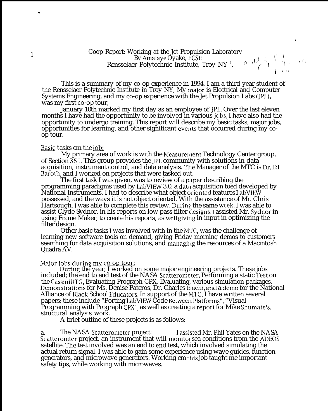### Coop Report: Working at the Jet Propulsion Laboratory By Amalaye Oyake, I:CSE Rensselaer Polytechnic Institute, Troy NY ',

 $\alpha$  ,  $\mathrm{d}\mathcal{A} \stackrel{\tau_{1}}{\rightarrow} \mathcal{I} \stackrel{\tau_{2}}{\rightarrow} \mathcal{I}$  to  $($   $\qquad$   $\qquad$   $\qquad$   $\qquad$   $\qquad$   $\qquad$   $\qquad$   $\qquad$   $\qquad$   $\qquad$   $\qquad$   $\qquad$   $\qquad$   $\qquad$   $\qquad$   $\qquad$   $\qquad$   $\qquad$   $\qquad$   $\qquad$   $\qquad$   $\qquad$   $\qquad$   $\qquad$   $\qquad$   $\qquad$   $\qquad$   $\qquad$   $\qquad$   $\qquad$   $\qquad$   $\qquad$   $\qquad$   $\qquad$   $\qquad$   $\qquad$ 

This is a summary of my co-op experience in 1994. I am a third year student of the Rensselaer Polytechnic Institute in Troy NY, My major is Electrical and Computer Systems Engineering, and my co-op experience with the Jet Propulsion Labs (JPL), was my first co-op tour,

January 10th marked my first day as an employee of JPL Over the last eleven months I have had the opportunity to be involved in various jobs, I have also had the opportunity to undergo training. This report will describe my basic tasks, major jobs, opportunities for learning, and other significant events that occurred during my coop tour.

### Basic tasks cm the iob;

My primary area of work is with the Measurement Technology Center group, of Section 351. This group provides the JPI. community with solutions in-data acquisition, instrument control, and data analysis. The Manager of the MTC is Dr. Ed Baroth, and I worked on projects that were tasked out.

The first task I was given, was to review of a paper describing the programming paradigms used by LabVIEW 3.0, a data acquisition toed developed by National Instruments. I had to describe what object orientecl features IabVIEW possessed, and the ways it is not object oriented. With the assistance of Mr. Chris Hartsough, I was able to complete this review. During the same week, I was able to assist Clyde Sydnor, in his reports on low pass filter designs. I assisted Mr. Sydnor in using Frame Maker, to create his reports, as well giving in input in optimizing the filter design.

Other basic tasks I was involved with in the MTC, was the challenge of learning new software tools on demand, giving Friday morning demos to customers searching for data acquisition solutions, and managing the resources of a Macintosh Quadra AV.

### *Major jobs during my co-op tour.*

l)uring the year, I worked on some major engineering projects. These jobs included; the end to end test of the NASA Scatterometer, Performing a static Test on the Cassini RTG, Evaluating Prograph CPX, Evaluating, various simulation packages, Demonstrations for Ms. Denise Pateros, Dr. Charles Elachi, and a demo for the National Alliance of Black School Educators. In support of the MTC, I have written several papers; these include "Porting LabVIEW Code Between Platforms", "Visual Programming with Prograph CPX", as well as creating a report for Mike Shumate's, structural analysis work.

A brief outline of these projects is as follows;

a. The NASA Scatterometer project: I assjsted Mr. Phil Yates on the NASA Scatteromter project, an instrument that will monito sea conditions from the ADEOS satellite. The test involved was an end to end test, which involved simulating the actual return signal. I was able to gain some experience using wave guides, function generators, and microwave generators. Working cm tliis job taught me important safety tips, while working with microwaves.

\*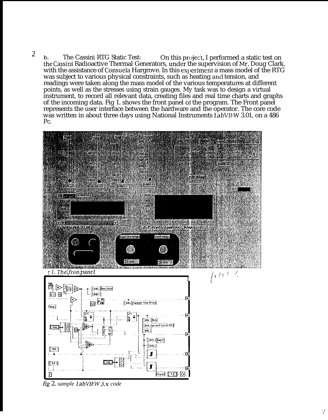2 b. The Cassini RTG Static Test: On this project, I performed a static test on the Cassini Radioactive Thermal Generators, under the supervision of Mr. Doug Clark, with the assistance of Consuela Hargrove. In this experiment a mass model of the RTG was subject to various physical constraints, such as heating and tension, and readings were taken along the mass model of the various temperatures at different points, as well as the stresses using strain gauges. My task was to design a virtual instrument, to record all relevant data, creating files and real time charts and graphs of the incoming data. Fig 1. shows the front panel oi the program. The Front panel represents the user interface between the hardware and the operator. The core code was written in about three days using National Instruments LabVIEW 3.01, on a 486 Pc.



fig 2. *sample I,abVIEW 3,x code*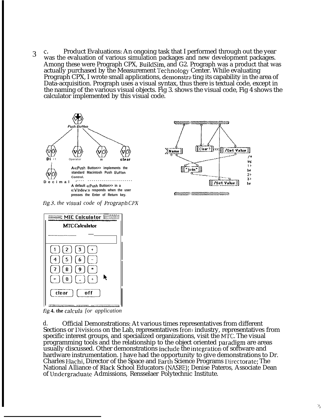3 c" Product Evaluations: An ongoing task that I performed through out the year was the evaluation of various simulation packages and new development packages. Among these were Prograph CPX, Build Sim, and G2. Prograph was a product that was actually purchased by the Measurement Technology Center. While evaluating Prograph CPX, I wrote small applications, demonstrating its capability in the area of Data-acquisition. Prograph uses a visual syntax, thus there is textual code, except in the naming of the various visual objects. Fig 3. shows the visual code, Fig 4 shows the calculator implemented by this visual code.





*Anomavammanammana* 



**fig 4. the** *calcula [or application*

d. Official Demonstrations: At various times representatives from different Sections or Divisions on the Lab, representatives from industry, representatives from specific interest groups, and specialized organizations, visit the MTC. The visual programming tools and the relationship to the object oriented paradigm are areas usually discussed. Other demonstrations include the integration of software and hardware instrumentation. I have had the opportunity to give demonstrations to Dr. Charles Hachi, Director of the Space and Earth Science Programs I)irectorate; The National Alliance of Black School Educators (NASBE); Denise Pateros, Associate Dean of lJndergraduate Admissions, Rensselaer Polytechnic Institute.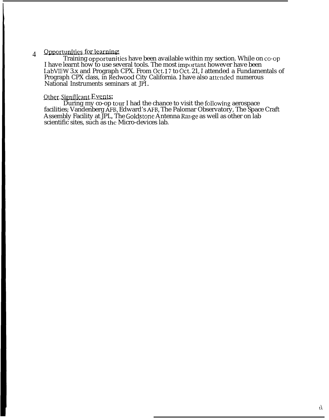### 4 Opportunities for learning.

Training opportunities have been available within my section. While on co-op I have learnt how to use several tools. The most important however have been LabVIEW 3.x and Prograph CPX. From Oct.17 to Oct.21, I attended a Fundamentals of Prograph CPX class, in Redwood City California. I have also attended numerous National Instruments seminars at JPI,.

### **Other Significant Events:**

During my co-op tour I had the chance to visit the following aerospace facilities; Vandenberg AFB, Edward's AFB, The Palomar Observatory, The Space Craft Assembly Facility at JPL, The Goldstone Antenna Range as well as other on lab scientific sites, such as the Micro-devices lab.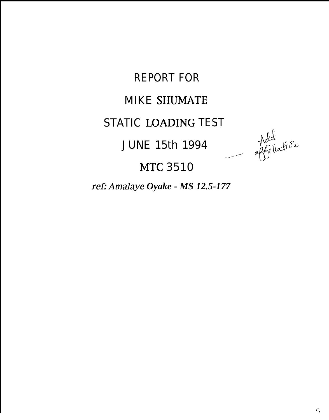**REPORT FOR** 

# **MIKE SHUMATE**

# STATIC LOADING TEST Add<br>affiliation

**JUNE 15th 1994** 

**MTC 3510** 

ref: Amalaye Oyake - MS 12.5-177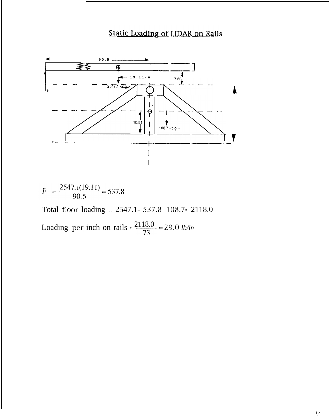# Static Loading of LIDAR on Rails



 $F = \frac{2547.1(19.11)}{90.5} = 537.8$ 

Total floor loading =  $2547.1 - 537.8 + 108.7 = 2118.0$ 

Loading per inch on rails  $=\frac{2118.0}{73}$  = 29.0 *lb/in*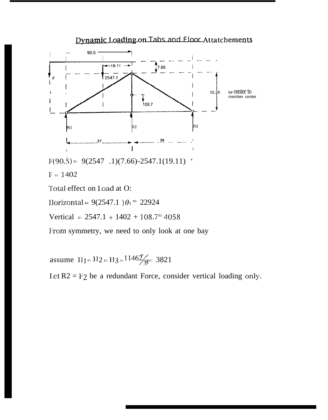

Vertical =  $2547.1 + 1402 + 108.7^{\approx} 4058$ 

From symmetry, we need to only look at one bay

assume  $H_1 = H_2 = H_3 = 11462/3 = 3821$ 

Let  $R2 = F2$  be a redundant Force, consider vertical loading only.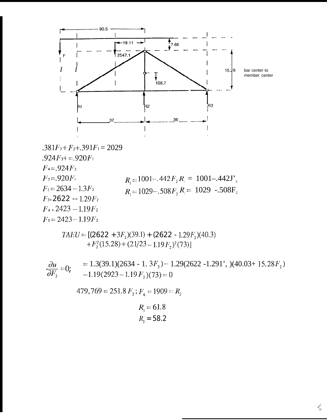

$$
.381F_3 + F_2 + .391F_1 = 2029
$$
  
\n
$$
.924F_3 + = .920F_1
$$
  
\n
$$
F_4 = .924F_3
$$
  
\n
$$
F_5 = .920F_1
$$
  
\n
$$
F_1 = 2634 - 1.3F_2
$$
  
\n
$$
F_1 = 2634 - 1.3F_2
$$
  
\n
$$
F_2 = 2622 - 1.29F_2
$$
  
\n
$$
F_3 = 2423 - 1.19F_2
$$
  
\n
$$
F_4 = 2423 - 1.19F_2
$$
  
\n
$$
F_5 = 2423 - 1.19F_2
$$

 $TAEU = [(2622 + 3F<sub>2</sub>)(39.1) + (2622 - 1.29F<sub>2</sub>)(40.3)$ + $F_2^2(15.28)$  +  $(21/23 - 1.19F_2)^2(73)$ ]

 $\frac{\partial u}{\partial t} = 0$ : = 1.3(39.1)(2634 - 1. 3F<sub>2</sub>) - 1.29(2622 -1.291', )(40.03+ 15.28F<sub>2</sub>)  $\partial F_2$   $\begin{bmatrix} -0.19(2923 - 1.19 \, F_2)(73) = 0 \end{bmatrix}$ 

479,769 = 251.8  $F_2$ ;  $F_6$  = 1909 =  $R_2$ 

$$
R_{1} = 61.8
$$
  

$$
R_{3} = 58.2
$$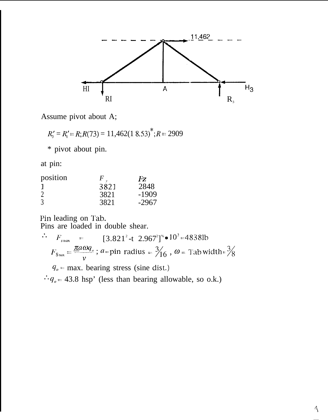

Assume pivot about A;

 $R'_3 = R'_1 = R; R(73) = 11,462(18.53)^{*}; R = 2909$ 

\* pivot about pin.

at pin:

| position |      | Fz.     |
|----------|------|---------|
|          | 3821 | 2848    |
|          | 3821 | $-1909$ |
|          | 3821 | $-2967$ |

Pin leading on Tab.<br>Pins are loaded in double shear.

 $F_{smax}$  = [3.821<sup>2</sup>-t 2.967<sup>2</sup>]<sup>%</sup> • 10<sup>3</sup> = 4838lb  $\mathcal{L}_{\text{eff}}$  $F_{s_{\text{max}}} = \frac{\pi a \omega q_e}{v}$ ;  $a = \text{pin radius} = \frac{3}{16}$ ,  $\omega = \text{Tab width} = \frac{3}{8}$  $q_0$  = max. bearing stress (sine dist.)  $\therefore q_o = 43.8$  hsp' (less than bearing allowable, so o.k.)

 $\triangleleft$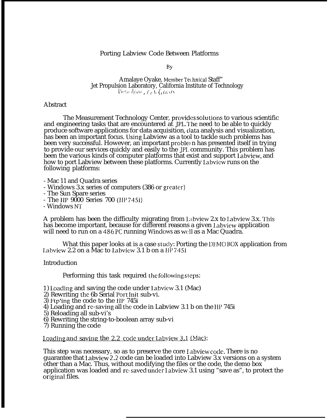### Porting Labview Code Between Platforms

By

Amalaye Oyake, Member Technical Staff" Jet Propulsion Laboratory, California Institute of Technology Pasadono, Confirma

### **Abstract**

The Measurement Technology Center, provides solutions to various scientific and engineering tasks that are encountered at JPL. I'he need to be able to quickly produce software applications for data acquisition, ciata analysis and visualization, has been an important focus. Using Labview as a tool to tackle such problems has been very successful. However, an important proble n has presented itself in trying to provide our services quickly and easily to the JPL community. This problem has been the various kinds of computer platforms that exist and support Iabview, and how to port Labview between these platforms. Currently Labview runs on the following platforms:

- Mac 11 and Quadra series

- Windows 3.x series of computers (386 or greater)

- The Sun Spare series

- The HP 9000 Series 700 (HP 745i)

- Windows N'1'

A problem has been the difficulty migrating from Labview  $2.x$  to Labview  $3.x$ . This has become important, because for different reasons a given Labview application will need to run on a  $486$  PC running Windows as well as a Mac Quadra.

What this paper looks at is a case study: Porting the DEMO BOX application from I.abview 2.2 on a Mac to labview 3.1 b on a HP 745i

Introduction

Performing this task required the following steps:

1) Loading and saving the code under Labview 3.1 (Mac)

- 2) Rewriting the 6b Serial l'ort lnit sub-vi.
- 3) Ftp'ing the code to the HP 745i
- 4) Loading and re-saving all the code in Labview 3.1 b on the 11P 745i
- 5) Reloading all sub-vi's
- 6) Rewriting the string-to-boolean array sub-vi
- 7) Running the code

Loading and saving the  $2.2$  code under Labyjew  $3.1$  (Mac):

This step was necessary, so as to preserve the core Labview code. There is no guarantee that Iabview 2.2, code can be loaded into Labview 3.x versions on a system other than a Mac. Thus, without modifying the files or the code, the demo box application was loaded and re-saved under Labview 3.1 using "save as", to protect the originaI files.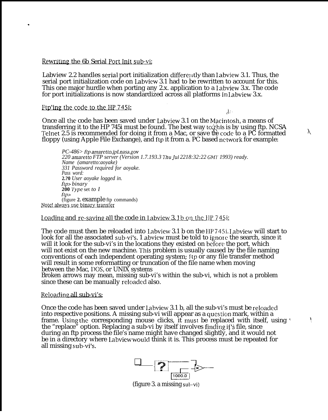### Rewriting the 6b Serial Port Init sub-vi:

Labview 2.2 handles serial port initialization differently than Labview 3.1. Thus, the serial port initialization code on Labview 3.1 had to be rewritten to account for this. This one major hurdle when porting any 2.x. application to a Iabview 3.x. The code for port initializations is now standardized across all platforms in Iabview 3.x.

### Ftp'ing the code to the HP 745i;

.

λØ

 $\mathbf{I}$ 

Once all the code has been saved under Labview 3.1 on the Macintosh, a means of transferring it to the HP 745i must be found. The best way to/this is by using ftp. NCSA Telnet 2.5 is recommended for doing it from a Mac, or save the code to a PC formatted  $\sim$ floppy (using Apple File Exchange), and ftp it from a. PC based network for example:

*PC-486> ftp amaretto.jpI.nasa.gov 220 amaretto FTP server (Version 1.7.193.3 Thu Jul 2218:32:22 GIvfl' 1993) ready. Name (amaretto:aoyake) 331 Password required for aoyake. Pass word:* **2.?0** *User aoyake logged in. ftp> binary* **200 Type** set *to I ftp>* (figure **2.** example ftp commands) Note! always use binary transfer

Loading and re-saving all the code in Labview 3. 1 b on the  $I$ IP 745i;

The code must then be reloaded into Labview 3.1 b on the 11P 745i. I.abview will start to look for all the associated sub-vi's. 1 abvicw must be told to ignore the search, since it will it look for the sub-vi's in the locations they existed on before the port, which will not exist on the new machine. This problem is usually caused by the file naming conventions of each independent operating system; ftp or any file transfer method will result in some reformatting or truncation of the file name when moving between the Mac, 1)0S, or UNIX systems

Broken arrows may mean, missing sub-vi's within the sub-vi, which is not a problem since these can be manually reloaded also.

### Reloading all sub-vi's:

Once the code has been saved under Labview 3.1 b, all the sub-vi's must be reloaded into respective positions. A missing sub-vi will appear as a question mark, within a frame. Using the corresponding mouse clicks, it must be replaced with itself, using  $\cdot$ the "replace" option. Replacing a sub-vi by itself involves finding it is file, since during an ftp process the file's name might have changed slightly, and it would not be in a directory where Labview would think it is. This process must be repeated for all missing sub-vi's.

❑ {""z=y-— **b- . . . . . . . . . . . . . . . x—**  $\frac{1}{1000.0}$ 

(figure 3. a missing sut)-vi)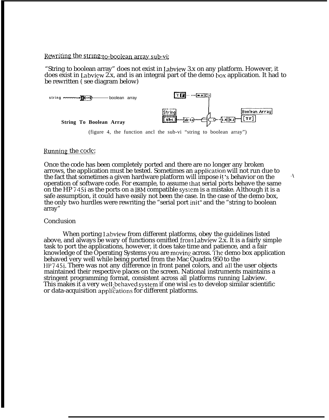### Rewriting the string-to-boolean array sub-vi:

"String to boolean array" does not exist in Iabview 3.x on any platform. However, it does exist in Labview  $2x$ , and is an integral part of the demo box application. It had to be rewritten ( see diagram below)



(figure 4, the function ancl the sub-vi "string to boolean array")

### Running the code:

Once the code has been completely ported and there are no longer any broken arrows, the application must be tested. Sometimes an applicaticm will not run due to the fact that sometimes a given hardware platform will impose it's behavior on the operation of software code. For example, to assume hat serial ports behave the same on the HP 745i as the ports on a IBM compatible system is a mistake. Although it is a safe assumption, it could have easily not been the case. In the case of the demo box, the only two hurdles were rewriting the "serial port init" and the "string to boolean array"

### Conclusion

When porting Labview from different platforms, obey the guidelines listed above, and always be wary of functions omitted from Labview 2.x. It is a fairly simple task to port the applications, however, it does take time and patience, and a fair knowledge of the Operating Systems you are moving across. The demo box application behaved very well while being ported from the Mac Quadra 950 to the 11P 745i. There was not any difference in front panel colors, and all the user objects maintained their respective places on the screen. National instruments maintains a stringent programming format, consistent across all platforms running Labview. This makes it a very well; behaved system if one wisl les to develop similar scientific or data-acquisition applications for different platforms.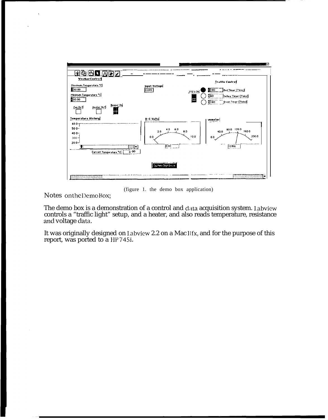

(figure 1. the demo box application)

 $Note: on the DemoBox;$ 

The demo box is a demonstration of a control and data acquisition system. Labview controls a "traffic light" setup, and a heater, and also reads temperature, resistance and voltage data.

It was originally designed on Labview 2.2 on a Mac IIfx, and for the purpose of this report, was ported to a HP 745i.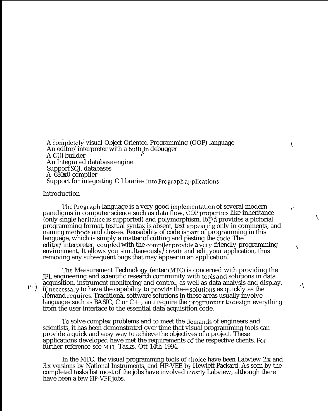A completely visual Object Oriented Programming (OOP) language An editor/interpreter with a built, in debugger A GLJI builder An Integrated database engine Support SQI, databases A 680x0 compiler Support for integrating  $C$  libraries into Prograph applications

### Introduction

The Prograph language is a very good implementation of several modern paradigms in computer science such as data flow, OOP properties like inheritance (only single heritance is supported) and polymorphism. It  $\phi$  a provides a pictorial programming format, textual syntax is absent, text appearing only in comments, and naming methods and classes. Reusability of code is part of programming in this language, which is simply a matter of cutting and pasting the  $\overline{\text{code}}$ . The editor/interpreter, coupled with the compiler provide a very friendly programming environment, It allows you simultaneously, treate and edit your application, thus removing any subsequent bugs that may appear in an application.

 $\bar{\mathbf{C}}$ 

Ý.

"\

The Measurement Technology (enter (MTC) is concerned with providing the JPL engineering and scientific research community with tools and solutions in data acquisition, instrument monitoring and control, as well as data analysis and display. It neccessary to have the capability to provide these solutions as quickly as the dèmand requires. Traditional software solutions in these areas usually involve languages such as BASIC, C or  $C_{++}$ , anti require the programmer to design everything from the user interface to the essential data acquisition code.

To solve complex problems and to meet the demands of engineers and scientists, it has been demonstrated over time that visual programming tools can provide a quick and easy way to achieve the objectives of a project. These applications developed have met the requirements of the respective clients. For further reference see MfC Tasks, Ott 14th 1994.

In the MTC, the visual programming tools of choice have been Labview  $2.x$  and 3.x versions by National Instruments, and HP-VEE by Hewlett Packard. As seen by the completed tasks list most of the jobs have involved lnostly Labview, although there have been a few lIP-VEE jobs.

**'")**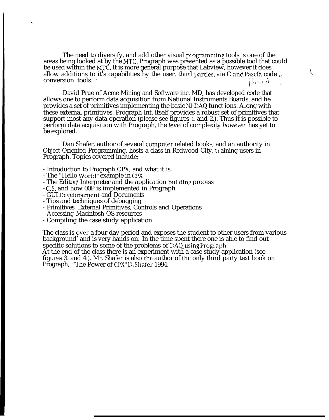The need to diversify, and add other visual programming tools is one of the areas being looked at by the MrC. Prograph was presented as a possible tool that could be used within the MTC. It is more general purpose that Labview, however it does allow additions to it's capabilities by the user, third parties, via C and Pascla code ,, conversion tools. conversion tools.

David Prue of Acme Mining and Software inc. MD, has developed code that allows one to perform data acquisition from National Instruments Boards, and he provides a set of primitives implementing the basic NI-DAQ funct ions. Along with these external primitives, Prograph Int. itself provides a robust set of primitives that support most any data operation (please see figures 1. and 2.). Thus it is possible to perform data acquisition with Prograph, the leveI of complexity *however* has yet to be explored.

Dan Shafer, author of several compuler related books, and an authority in Object Oriented Programming, hosts a class in Redwood City, training users in Prograph. Topics covered include;

- Introduction to Prograph CPX, and what it is,
- The "Hello World" example in CPX

.

- The Editor/Interpreter and the application building process
- C.S. and how 00P is implemented in Prograph
- GUI Developement and Documents
- Tips and techniques of debugging
- Primitives, External Primitives, Controls ancl Operations
- Accessing Macintosh OS resources
- Compiling the case study application

The class is over a four day period and exposes the student to other users from various background' and is very hands on. In the time spent there one is able to find out specific solutions to some of the problems of  $1)$ AQ using Prograph.

At the end of the class there is an experiment with a case study application (see figures 3. and 4.). Mr. Shafer is also the author of the only third party text book on Prograph, "The Power of CPX" I C. Shafer 1994.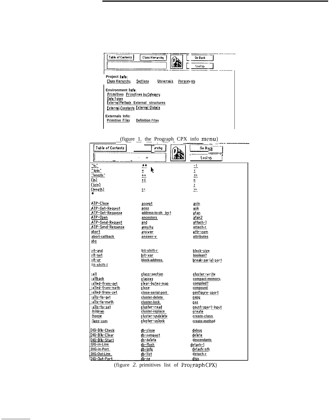| Table of Contents<br>Class Hierarchy<br>Go Back<br>しかかいか                                                                                                  |  |
|-----------------------------------------------------------------------------------------------------------------------------------------------------------|--|
| Project Info:<br>Universals<br>Class Hierarchy<br>Sections<br>Persistents                                                                                 |  |
| Environment Info:<br>Primitives Primitives by Category<br>Data Types<br><b>ExternalMethods External structures</b><br>External Constants External Globals |  |
| Externals Info:<br><b>Primitive Files</b><br><b>Definition Files</b>                                                                                      |  |

| Table of Contents                        | irchu                | Go Bągk           |
|------------------------------------------|----------------------|-------------------|
|                                          | $\epsilon$           | Lookup            |
|                                          |                      |                   |
| ™.                                       | ¥¥                   |                   |
| $\overline{\underline{\mathsf{join}}^*}$ | k<br>$\frac{1}{1+1}$ | コンロード             |
| "length"                                 |                      |                   |
| (in)                                     | $+1$                 |                   |
| (join)                                   |                      |                   |
| (length)<br>¥                            | $\sim$               |                   |
|                                          |                      |                   |
| ATP-Close                                | accept               | asin              |
| ATP-Get-Request                          | acos                 | ask               |
| ATP-Get-Response                         | address-to-oh ject   | atan              |
| ATP-Open                                 | ancestors            | atan2             |
| ATP-Send-Request                         | and                  | attach-1          |
| ATP-Send-Response                        | annuity              | attach-r          |
| abort                                    | answer               | attr-com          |
| abort-callback                           | answer-v             | attributes        |
| abs                                      |                      |                   |
| xit-and                                  | bit-shift-r          | block-size        |
| oit-not                                  | bit-xor              | boolean?          |
| >it-or                                   | block-address.       | break-serial-port |
| lit-shift-l                              |                      |                   |
| :all                                     | class-section        | cluster-write     |
| ailback                                  | classes              | compact-memory,   |
| alled-from-get                           | clear-bytes-map      | compiled?         |
| :alled-from-meth                         | close                | compound          |
| salled-from-set                          | close-serial-port    | configure-sport   |
| :alls-to-get                             | cluster-delete       | copy.             |
| :alls-to-meth                            | cluster-lock         | cos               |
| alls-to-set                              | cluster-read         | count-sport-input |
| hildren                                  | cluster-replace      | create            |
| hoose                                    | cluster-undelete     | create-class      |
| :lass-com                                | cluster-unlock       | create-method     |
| DIG-B1k-Check                            | db-close             | debug             |
| DIG-BIk-Clear                            | db-compact           | delete            |
| DIG-B1k-Start                            | db-delete            | descendants       |
| I)IG-in-Line                             | db-flush             | detach-1          |
| DIG-in-Port                              | db-info              | detach-nth        |
| DIG-Out-Line                             | db-list              | detach-r          |
| DIG-Out-Port                             | db-ne                | diso              |

(figure 1. the Prograph CPX info menu)

(figure 2. primitives list of PrographCPX)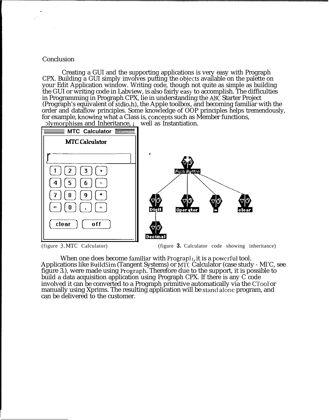### Conclusion

Creating a GUI and the supporting applications is very easy with Prograph CPX. Building a GUI simply involves putting the objects available on the palette on your Edit Application window. Writing code, though not quite as simple as building the GUI or writing code in Labview, is also fairly easy to accomplish. The difficulties in Programming in Prograph CPX, lie in understanding the ABC Starter Project (Prograph's equivalent of stdio.h), the Apple toolbox, and becoming familiar with the order and dataflow principles. Some knowledge of OOP principles helps tremendously, for example, knowing what a Class is, concepts such as Member functions,



(figure 3. MTC Calculator)

(figure 3. Calculator code showing inheritance)

When one does become familiar with Prograph, it is a powerful tool. Applications like BuildSim (Tangent Systems) or MTC Calculator (case study - MI'C, see figure 3.), were made using Prograph. Therefore due to the support, it is possible to build a data acquisition application using Prograph CPX. If there is any C code involved it can be converted to a Prograph primitive automatically via the CTool or manually using Xprims. The resulting application will be stand alone program, and can be delivered to the customer.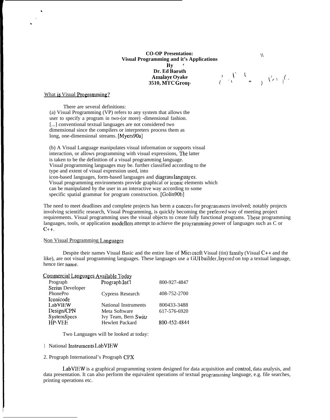### **CO-OP Presentation: \\ Visual Programming and it's Applications By ' Dr. Ed Baroth 3510, M'1'C Grou], (' " "**

What is Visual Programming?

\*

There are several definitions: (a) Visual Programming (VP) refers to any system that allows the user to specify a program in two-(or more) -dimensional fashion. [...] conventional textual languages are not considered two dimensional since the compilers or interpreters process them as long, one-dimensional streams. [Myers90a]

(b) A Visual Language manipulates visual information or supports visual interaction, or allows programming with visual expressions, The latter is taken to be the definition of a visual programming language. Visual programming languages may be. further classified according to the type and extent of visual expression used, into icon-based languages, form-based languages and diagram languages. Visual programming environments provide graphical or iconic elements which can be manipulated by the user in an interactive way according to some specific spatial grammar for program construction. [Golin90b]

The need to meet deadlines and complete projects has berm a concert for programmers involved; notably projects involving scientific research, Visual Programming, is quickly becoming the preferred way of meeting project requirements. Visual programming uses the visual objects to create fully functional programs. l'hese programming languages, tools, or application modellers attempt to achieve tbe programming power of languages such as C or  $C_{++}$ .

### Non Visual Programming Languages

Despite their names Visual Basic and the entire line of Microsoft Visual (tin) family (Visual C++ and the like), are not visual programming languages. These languages use a GUI builder, layered on top a textual language, hence tier narnc.

### Commercial Languages Available Today

| Prograph Int'l              | 800-927-4847 |
|-----------------------------|--------------|
|                             |              |
| Cypress Research            | 408-752-2700 |
|                             |              |
| <b>National Instruments</b> | 800433-3488  |
| Meta Software               | 617-576-6920 |
| Ivy Team, Bern Switz        |              |
| <b>Hewlett Packard</b>      | 800-452-4844 |
|                             |              |

Two Languages will be looked at today:

- 1 National Instruments LabVIEW
- 2. Prograph International's Prograph CPX

LabVIEW is a graphical programming system designed for data acquisition and ccmtrol, data analysis, and data presentation. It can also perform the equivalent operations of textual programming language, e.g. file searches, printing operations etc.

**Arnalaye Oyake 1' <sup>~</sup> <sup>~</sup> \',\$ (/ )**